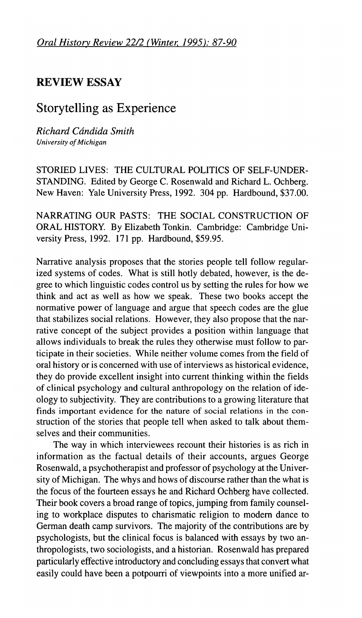## **REVIEW ESSAY**

## Storytelling as Experience

*Richard Candida Smith University of Michigan*

STORIED LIVES: THE CULTURAL POLITICS OF SELF-UNDER-STANDING. Edited by George C. Rosenwald and Richard L. Ochberg. New Haven: Yale University Press, 1992. 304 pp. Hardbound, \$37.00.

NARRATING OUR PASTS: THE SOCIAL CONSTRUCTION OF ORAL HISTORY. By Elizabeth Tonkin. Cambridge: Cambridge University Press, 1992. 171 pp. Hardbound, \$59.95.

Narrative analysis proposes that the stories people tell follow regularized systems of codes. What is still hotly debated, however, is the degree to which linguistic codes control us by setting the rules for how we think and act as well as how we speak. These two books accept the normative power of language and argue that speech codes are the glue that stabilizes social relations. However, they also propose that the narrative concept of the subject provides a position within language that allows individuals to break the rules they otherwise must follow to participate in their societies. While neither volume comes from the field of oral history or is concerned with use of interviews as historical evidence, they do provide excellent insight into current thinking within the fields of clinical psychology and cultural anthropology on the relation of ideology to subjectivity. They are contributions to a growing literature that finds important evidence for the nature of social relations in the construction of the stories that people tell when asked to talk about themselves and their communities.

The way in which interviewees recount their histories is as rich in information as the factual details of their accounts, argues George Rosenwald, a psychotherapist and professor of psychology at the University of Michigan. The whys and hows of discourse rather than the what is the focus of the fourteen essays he and Richard Ochberg have collected. Their book covers a broad range of topics, jumping from family counseling to workplace disputes to charismatic religion to modern dance to German death camp survivors. The majority of the contributions are by psychologists, but the clinical focus is balanced with essays by two anthropologists, two sociologists, and a historian. Rosenwald has prepared particularly effective introductory and concluding essays that convert what easily could have been a potpourri of viewpoints into a more unified ar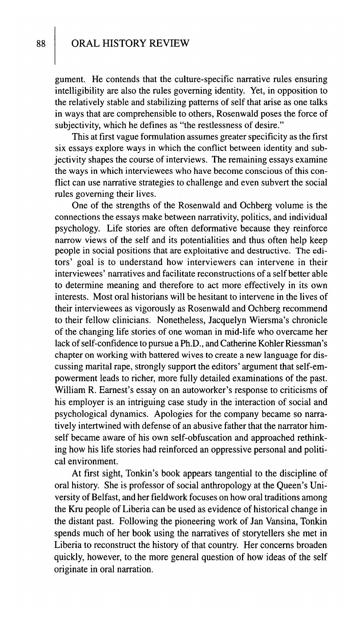gument. He contends that the culture-specific narrative rules ensuring intelligibility are also the rules governing identity. Yet, in opposition to the relatively stable and stabilizing patterns of self that arise as one talks in ways that are comprehensible to others, Rosenwald poses the force of subjectivity, which he defines as "the restlessness of desire."

This at first vague formulation assumes greater specificity as the first six essays explore ways in which the conflict between identity and subjectivity shapes the course of interviews. The remaining essays examine the ways in which interviewees who have become conscious of this conflict can use narrative strategies to challenge and even subvert the social rules governing their lives.

One of the strengths of the Rosenwald and Ochberg volume is the connections the essays make between narrativity, politics, and individual psychology. Life stories are often deformative because they reinforce narrow views of the self and its potentialities and thus often help keep people in social positions that are exploitative and destructive. The editors' goal is to understand how interviewers can intervene in their interviewees' narratives and facilitate reconstructions of a self better able to determine meaning and therefore to act more effectively in its own interests. Most oral historians will be hesitant to intervene in the lives of their interviewees as vigorously as Rosenwald and Ochberg recommend to their fellow clinicians. Nonetheless, Jacquelyn Wiersma's chronicle of the changing life stories of one woman in mid-life who overcame her lack of self-confidence to pursue a Ph.D., and Catherine Kohler Riessman's chapter on working with battered wives to create a new language for discussing marital rape, strongly support the editors' argument that self-empowerment leads to richer, more fully detailed examinations of the past. William R. Earnest's essay on an autoworker's response to criticisms of his employer is an intriguing case study in the interaction of social and psychological dynamics. Apologies for the company became so narratively intertwined with defense of an abusive father that the narrator himself became aware of his own self-obfuscation and approached rethinking how his life stories had reinforced an oppressive personal and political environment.

At first sight, Tonkin's book appears tangential to the discipline of oral history. She is professor of social anthropology at the Queen's University of Belfast, and her fieldwork focuses on how oral traditions among the Kru people of Liberia can be used as evidence of historical change in the distant past. Following the pioneering work of Jan Vansina, Tonkin spends much of her book using the narratives of storytellers she met in Liberia to reconstruct the history of that country. Her concerns broaden quickly, however, to the more general question of how ideas of the self originate in oral narration.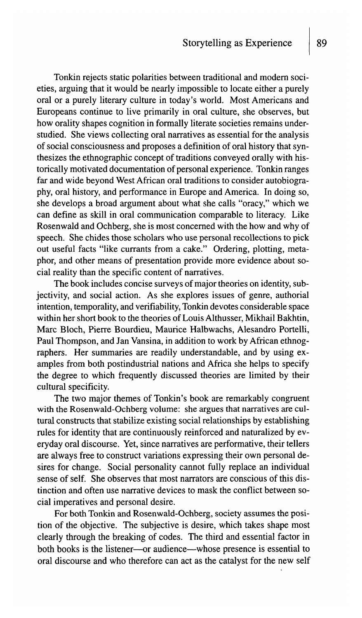Tonkin rejects static polarities between traditional and modern societies, arguing that it would be nearly impossible to locate either a purely oral or a purely literary culture in today's world. Most Americans and Europeans continue to live primarily in oral culture, she observes, but how orality shapes cognition in formally literate societies remains understudied. She views collecting oral narratives as essential for the analysis of social consciousness and proposes a definition of oral history that synthesizes the ethnographic concept of traditions conveyed orally with historically motivated documentation of personal experience. Tonkin ranges far and wide beyond West African oral traditions to consider autobiography, oral history, and performance in Europe and America. In doing so, she develops a broad argument about what she calls "oracy," which we can define as skill in oral communication comparable to literacy. Like Rosenwald and Ochberg, she is most concerned with the how and why of speech. She chides those scholars who use personal recollections to pick out useful facts "like currants from a cake." Ordering, plotting, metaphor, and other means of presentation provide more evidence about social reality than the specific content of narratives.

The book includes concise surveys of major theories on identity, subjectivity, and social action. As she explores issues of genre, authorial intention, temporality, and verifiability, Tonkin devotes considerable space within her short book to the theories of Louis Althusser, Mikhail Bakhtin, Marc Bloch, Pierre Bourdieu, Maurice Halbwachs, Alesandro Portelli, Paul Thompson, and Jan Vansina, in addition to work by African ethnographers. Her summaries are readily understandable, and by using examples from both postindustrial nations and Africa she helps to specify the degree to which frequently discussed theories are limited by their cultural specificity.

The two major themes of Tonkin's book are remarkably congruent with the Rosenwald-Ochberg volume: she argues that narratives are cultural constructs that stabilize existing social relationships by establishing rules for identity that are continuously reinforced and naturalized by everyday oral discourse. Yet, since narratives are performative, their tellers are always free to construct variations expressing their own personal desires for change. Social personality cannot fully replace an individual sense of self. She observes that most narrators are conscious of this distinction and often use narrative devices to mask the conflict between social imperatives and personal desire.

For both Tonkin and Rosenwald-Ochberg, society assumes the position of the objective. The subjective is desire, which takes shape most clearly through the breaking of codes. The third and essential factor in both books is the listener—or audience—whose presence is essential to oral discourse and who therefore can act as the catalyst for the new self